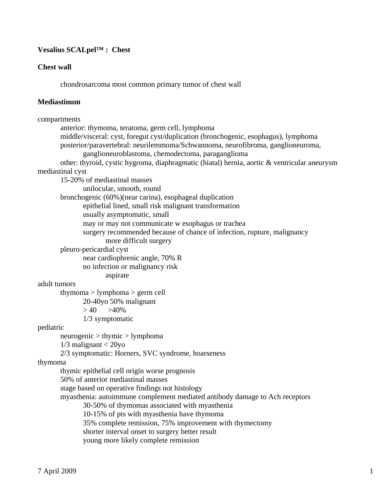# **Vesalius SCALpel™ : Chest**

#### **Chest wall**

chondrosarcoma most common primary tumor of chest wall

#### **Mediastinum**

```
compartments 
        anterior: thymoma, teratoma, germ cell, lymphoma 
        middle/visceral: cyst, foregut cyst/duplication (bronchogenic, esophagus), lymphoma 
        posterior/paravertebral: neurilemmoma/Schwannoma, neurofibroma, ganglioneuroma, 
                ganglioneuroblastoma, chemodectoma, paraganglioma 
        other: thyroid, cystic hygroma, diaphragmatic (hiatal) hernia, aortic & ventricular aneurysm 
mediastinal cyst 
        15-20% of mediastinal masses 
                unilocular, smooth, round 
        bronchogenic (60%)(near carina), esophageal duplication 
               epithelial lined, small risk malignant transformation 
               usually asymptomatic, small 
               may or may not communicate w esophagus or trachea 
               surgery recommended because of chance of infection, rupture, malignancy 
                       more difficult surgery 
        pleuro-pericardial cyst 
               near cardiophrenic angle, 70% R 
               no infection or malignancy risk 
                       aspirate 
adult tumors 
        thymoma > lymphoma > germ cell 
                20-40yo 50% malignant 
              > 40 > 40\% 1/3 symptomatic 
pediatric 
        neurogenic > thymic > lymphoma 
       1/3 malignant < 20yo
        2/3 symptomatic: Horners, SVC syndrome, hoarseness 
thymoma 
        thymic epithelial cell origin worse prognosis 
        50% of anterior mediastinal masses 
        stage based on operative findings not histology 
        myasthenia: autoimmune complement mediated antibody damage to Ach receptors 
                30-50% of thymomas associated with myasthenia 
                10-15% of pts with myasthenia have thymoma 
                35% complete remission, 75% improvement with thymectomy 
                shorter interval onset to surgery better result 
               young more likely complete remission
```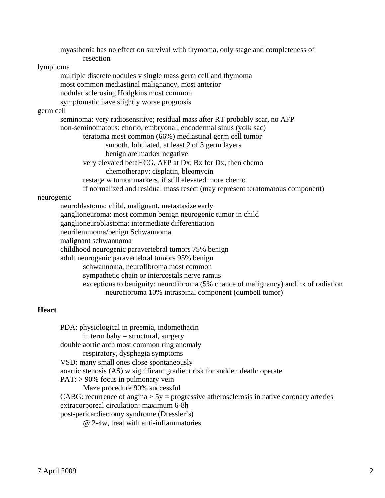myasthenia has no effect on survival with thymoma, only stage and completeness of resection lymphoma multiple discrete nodules v single mass germ cell and thymoma most common mediastinal malignancy, most anterior nodular sclerosing Hodgkins most common symptomatic have slightly worse prognosis germ cell seminoma: very radiosensitive; residual mass after RT probably scar, no AFP non-seminomatous: chorio, embryonal, endodermal sinus (yolk sac) teratoma most common (66%) mediastinal germ cell tumor smooth, lobulated, at least 2 of 3 germ layers benign are marker negative very elevated betaHCG, AFP at Dx; Bx for Dx, then chemo chemotherapy: cisplatin, bleomycin restage w tumor markers, if still elevated more chemo if normalized and residual mass resect (may represent teratomatous component) neurogenic neuroblastoma: child, malignant, metastasize early ganglioneuroma: most common benign neurogenic tumor in child ganglioneuroblastoma: intermediate differentiation neurilemmoma/benign Schwannoma malignant schwannoma childhood neurogenic paravertebral tumors 75% benign adult neurogenic paravertebral tumors 95% benign schwannoma, neurofibroma most common sympathetic chain or intercostals nerve ramus exceptions to benignity: neurofibroma (5% chance of malignancy) and hx of radiation neurofibroma 10% intraspinal component (dumbell tumor)

## **Heart**

PDA: physiological in preemia, indomethacin in term baby  $=$  structural, surgery double aortic arch most common ring anomaly respiratory, dysphagia symptoms VSD: many small ones close spontaneously aoartic stenosis (AS) w significant gradient risk for sudden death: operate PAT: > 90% focus in pulmonary vein Maze procedure 90% successful CABG: recurrence of angina  $> 5y =$  progressive atherosclerosis in native coronary arteries extracorporeal circulation: maximum 6-8h post-pericardiectomy syndrome (Dressler's) @ 2-4w, treat with anti-inflammatories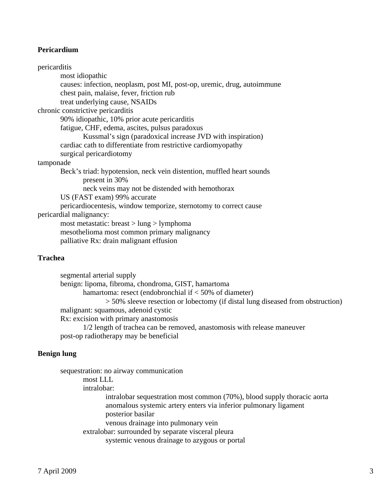### **Pericardium**

pericarditis most idiopathic causes: infection, neoplasm, post MI, post-op, uremic, drug, autoimmune chest pain, malaise, fever, friction rub treat underlying cause, NSAIDs chronic constrictive pericarditis 90% idiopathic, 10% prior acute pericarditis fatigue, CHF, edema, ascites, pulsus paradoxus Kussmal's sign (paradoxical increase JVD with inspiration) cardiac cath to differentiate from restrictive cardiomyopathy surgical pericardiotomy tamponade Beck's triad: hypotension, neck vein distention, muffled heart sounds present in 30% neck veins may not be distended with hemothorax US (FAST exam) 99% accurate pericardiocentesis, window temporize, sternotomy to correct cause pericardial malignancy: most metastatic: breast > lung > lymphoma mesothelioma most common primary malignancy palliative Rx: drain malignant effusion

#### **Trachea**

 segmental arterial supply benign: lipoma, fibroma, chondroma, GIST, hamartoma hamartoma: resect (endobronchial if < 50% of diameter) > 50% sleeve resection or lobectomy (if distal lung diseased from obstruction) malignant: squamous, adenoid cystic Rx: excision with primary anastomosis 1/2 length of trachea can be removed, anastomosis with release maneuver post-op radiotherapy may be beneficial

#### **Benign lung**

 sequestration: no airway communication most LLL intralobar: intralobar sequestration most common (70%), blood supply thoracic aorta anomalous systemic artery enters via inferior pulmonary ligament posterior basilar venous drainage into pulmonary vein extralobar: surrounded by separate visceral pleura systemic venous drainage to azygous or portal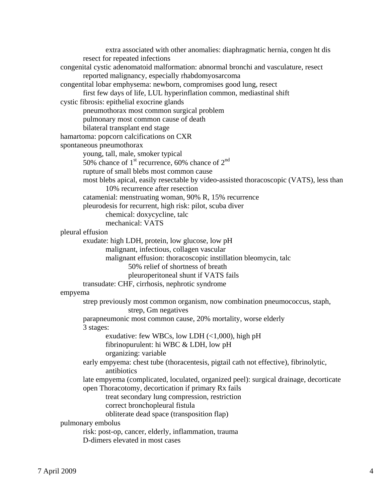extra associated with other anomalies: diaphragmatic hernia, congen ht dis resect for repeated infections congenital cystic adenomatoid malformation: abnormal bronchi and vasculature, resect reported malignancy, especially rhabdomyosarcoma congentital lobar emphysema: newborn, compromises good lung, resect first few days of life, LUL hyperinflation common, mediastinal shift cystic fibrosis: epithelial exocrine glands pneumothorax most common surgical problem pulmonary most common cause of death bilateral transplant end stage hamartoma: popcorn calcifications on CXR spontaneous pneumothorax young, tall, male, smoker typical 50% chance of  $1<sup>st</sup>$  recurrence, 60% chance of  $2<sup>nd</sup>$  rupture of small blebs most common cause most blebs apical, easily resectable by video-assisted thoracoscopic (VATS), less than 10% recurrence after resection catamenial: menstruating woman, 90% R, 15% recurrence pleurodesis for recurrent, high risk: pilot, scuba diver chemical: doxycycline, talc mechanical: VATS pleural effusion exudate: high LDH, protein, low glucose, low pH malignant, infectious, collagen vascular malignant effusion: thoracoscopic instillation bleomycin, talc 50% relief of shortness of breath pleuroperitoneal shunt if VATS fails transudate: CHF, cirrhosis, nephrotic syndrome empyema strep previously most common organism, now combination pneumococcus, staph, strep, Gm negatives parapneumonic most common cause, 20% mortality, worse elderly 3 stages: exudative: few WBCs, low LDH  $\left($ <1,000), high pH fibrinopurulent: hi WBC & LDH, low pH organizing: variable early empyema: chest tube (thoracentesis, pigtail cath not effective), fibrinolytic, antibiotics late empyema (complicated, loculated, organized peel): surgical drainage, decorticate open Thoracotomy, decortication if primary Rx fails treat secondary lung compression, restriction correct bronchopleural fistula obliterate dead space (transposition flap) pulmonary embolus risk: post-op, cancer, elderly, inflammation, trauma D-dimers elevated in most cases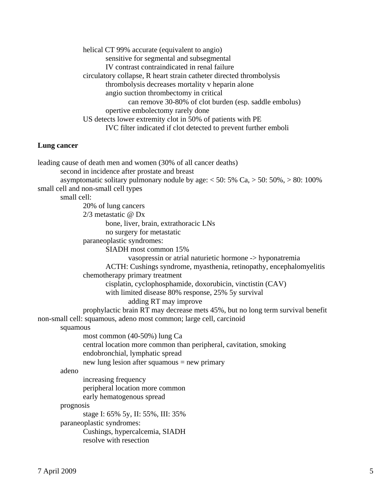helical CT 99% accurate (equivalent to angio) sensitive for segmental and subsegmental IV contrast contraindicated in renal failure circulatory collapse, R heart strain catheter directed thrombolysis thrombolysis decreases mortality v heparin alone angio suction thrombectomy in critical can remove 30-80% of clot burden (esp. saddle embolus) opertive embolectomy rarely done US detects lower extremity clot in 50% of patients with PE IVC filter indicated if clot detected to prevent further emboli

### **Lung cancer**

leading cause of death men and women (30% of all cancer deaths) second in incidence after prostate and breast asymptomatic solitary pulmonary nodule by age:  $< 50$ : 5% Ca,  $> 50$ : 50%,  $> 80$ : 100% small cell and non-small cell types small cell: 20% of lung cancers 2/3 metastatic @ Dx bone, liver, brain, extrathoracic LNs no surgery for metastatic paraneoplastic syndromes: SIADH most common 15% vasopressin or atrial naturietic hormone -> hyponatremia ACTH: Cushings syndrome, myasthenia, retinopathy, encephalomyelitis chemotherapy primary treatment cisplatin, cyclophosphamide, doxorubicin, vinctistin (CAV) with limited disease 80% response, 25% 5y survival adding RT may improve prophylactic brain RT may decrease mets 45%, but no long term survival benefit non-small cell: squamous, adeno most common; large cell, carcinoid squamous most common (40-50%) lung Ca central location more common than peripheral, cavitation, smoking endobronchial, lymphatic spread new lung lesion after squamous = new primary adeno increasing frequency peripheral location more common early hematogenous spread prognosis stage I: 65% 5y, II: 55%, III: 35% paraneoplastic syndromes: Cushings, hypercalcemia, SIADH resolve with resection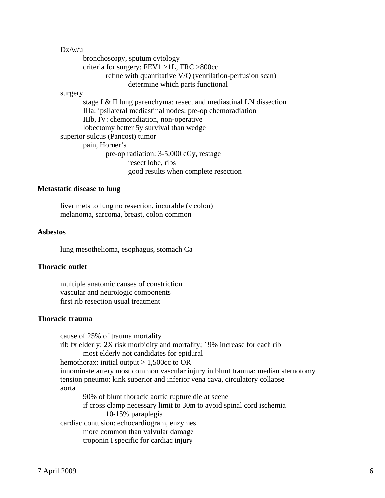| Dx/w/u  |                                                                    |
|---------|--------------------------------------------------------------------|
|         | bronchoscopy, sputum cytology                                      |
|         | criteria for surgery: $FEV1 > 1L$ , $FRC > 800cc$                  |
|         | refine with quantitative V/Q (ventilation-perfusion scan)          |
|         | determine which parts functional                                   |
| surgery |                                                                    |
|         | stage I & II lung parenchyma: resect and mediastinal LN dissection |
|         | IIIa: ipsilateral mediastinal nodes: pre-op chemoradiation         |
|         | IIIb, IV: chemoradiation, non-operative                            |
|         | lobectomy better 5y survival than wedge                            |
|         | superior sulcus (Pancost) tumor                                    |
|         | pain, Horner's                                                     |
|         | pre-op radiation: 3-5,000 cGy, restage                             |
|         | resect lobe, ribs                                                  |
|         | good results when complete resection                               |

#### **Metastatic disease to lung**

 liver mets to lung no resection, incurable (v colon) melanoma, sarcoma, breast, colon common

## **Asbestos**

lung mesothelioma, esophagus, stomach Ca

#### **Thoracic outlet**

 multiple anatomic causes of constriction vascular and neurologic components first rib resection usual treatment

### **Thoracic trauma**

 cause of 25% of trauma mortality rib fx elderly: 2X risk morbidity and mortality; 19% increase for each rib most elderly not candidates for epidural hemothorax: initial output  $> 1,500$ cc to OR innominate artery most common vascular injury in blunt trauma: median sternotomy tension pneumo: kink superior and inferior vena cava, circulatory collapse aorta 90% of blunt thoracic aortic rupture die at scene if cross clamp necessary limit to 30m to avoid spinal cord ischemia 10-15% paraplegia cardiac contusion: echocardiogram, enzymes more common than valvular damage troponin I specific for cardiac injury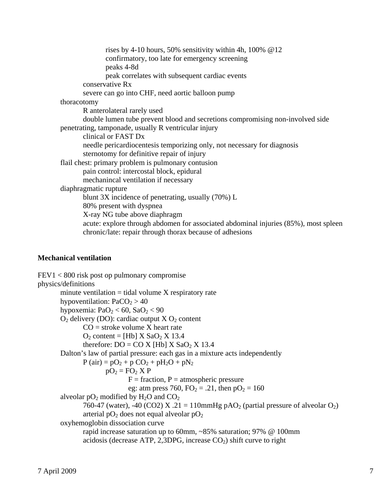rises by 4-10 hours, 50% sensitivity within 4h, 100%  $@12$  confirmatory, too late for emergency screening peaks 4-8d peak correlates with subsequent cardiac events conservative Rx severe can go into CHF, need aortic balloon pump thoracotomy R anterolateral rarely used double lumen tube prevent blood and secretions compromising non-involved side penetrating, tamponade, usually R ventricular injury clinical or FAST Dx needle pericardiocentesis temporizing only, not necessary for diagnosis sternotomy for definitive repair of injury flail chest: primary problem is pulmonary contusion pain control: intercostal block, epidural mechanincal ventilation if necessary diaphragmatic rupture blunt 3X incidence of penetrating, usually (70%) L 80% present with dyspnea X-ray NG tube above diaphragm acute: explore through abdomen for associated abdominal injuries (85%), most spleen chronic/late: repair through thorax because of adhesions

# **Mechanical ventilation**

FEV1 < 800 risk post op pulmonary compromise physics/definitions minute ventilation  $=$  tidal volume  $X$  respiratory rate hypoventilation:  $PaCO<sub>2</sub> > 40$ hypoxemia:  $PaO<sub>2</sub> < 60$ ,  $SaO<sub>2</sub> < 90$  $O_2$  delivery (DO): cardiac output  $X O_2$  content  $CO =$  stroke volume X heart rate  $O_2$  content = [Hb]  $X$  Sa $O_2$  X 13.4 therefore:  $DO = CO X$  [Hb]  $X$  SaO<sub>2</sub> X 13.4 Dalton's law of partial pressure: each gas in a mixture acts independently  $P (air) = pO<sub>2</sub> + p CO<sub>2</sub> + pH<sub>2</sub>O + pN<sub>2</sub>$  $pO_2 = FO_2$  X P  $F =$  fraction,  $P =$  atmospheric pressure eg: atm press 760,  $FO_2 = .21$ , then  $pO_2 = 160$ alveolar  $pO_2$  modified by  $H_2O$  and  $CO_2$ 760-47 (water), -40 (CO2) X .21 = 110mmHg pAO<sub>2</sub> (partial pressure of alveolar  $O_2$ ) arterial  $pO_2$  does not equal alveolar  $pO_2$  oxyhemoglobin dissociation curve rapid increase saturation up to 60mm, ~85% saturation; 97% @ 100mm acidosis (decrease ATP, 2,3DPG, increase  $CO<sub>2</sub>$ ) shift curve to right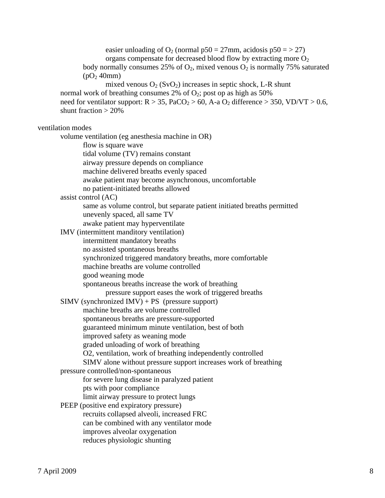easier unloading of  $O_2$  (normal p50 = 27mm, acidosis p50 = > 27) organs compensate for decreased blood flow by extracting more  $O<sub>2</sub>$ body normally consumes 25% of  $O_2$ , mixed venous  $O_2$  is normally 75% saturated  $(pO<sub>2</sub> 40mm)$ mixed venous  $O_2$  (SvO<sub>2</sub>) increases in septic shock, L-R shunt normal work of breathing consumes  $2\%$  of  $O_2$ ; post op as high as  $50\%$ need for ventilator support:  $R > 35$ , PaCO<sub>2</sub> > 60, A-a O<sub>2</sub> difference > 350, VD/VT > 0.6, shunt fraction > 20% ventilation modes volume ventilation (eg anesthesia machine in OR) flow is square wave tidal volume (TV) remains constant airway pressure depends on compliance machine delivered breaths evenly spaced awake patient may become asynchronous, uncomfortable no patient-initiated breaths allowed assist control (AC) same as volume control, but separate patient initiated breaths permitted unevenly spaced, all same TV awake patient may hyperventilate IMV (intermittent manditory ventilation) intermittent mandatory breaths no assisted spontaneous breaths synchronized triggered mandatory breaths, more comfortable machine breaths are volume controlled good weaning mode spontaneous breaths increase the work of breathing pressure support eases the work of triggered breaths  $SIMV$  (synchronized  $IMV$ ) + PS (pressure support) machine breaths are volume controlled spontaneous breaths are pressure-supported guaranteed minimum minute ventilation, best of both improved safety as weaning mode graded unloading of work of breathing O2, ventilation, work of breathing independently controlled SIMV alone without pressure support increases work of breathing pressure controlled/non-spontaneous for severe lung disease in paralyzed patient pts with poor compliance limit airway pressure to protect lungs PEEP (positive end expiratory pressure) recruits collapsed alveoli, increased FRC can be combined with any ventilator mode improves alveolar oxygenation reduces physiologic shunting